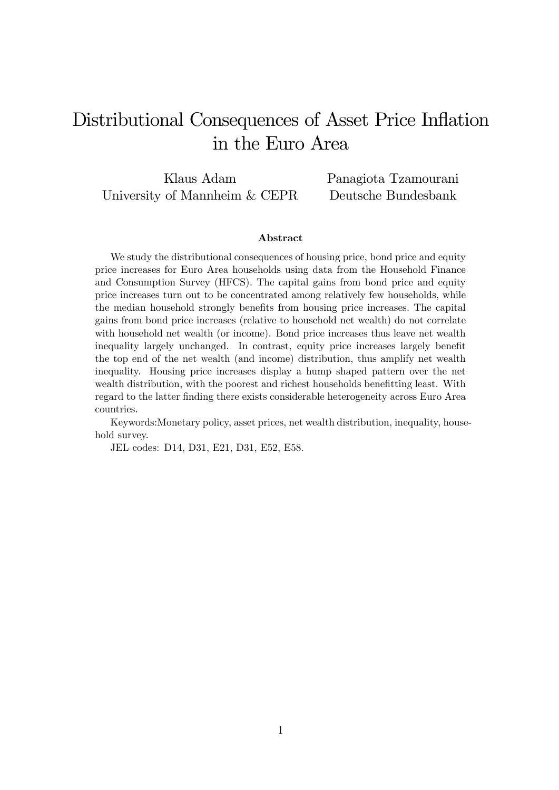# Distributional Consequences of Asset Price Inflation in the Euro Area

Klaus Adam University of Mannheim & CEPR Panagiota Tzamourani Deutsche Bundesbank

#### Abstract

We study the distributional consequences of housing price, bond price and equity price increases for Euro Area households using data from the Household Finance and Consumption Survey (HFCS). The capital gains from bond price and equity price increases turn out to be concentrated among relatively few households, while the median household strongly benefits from housing price increases. The capital gains from bond price increases (relative to household net wealth) do not correlate with household net wealth (or income). Bond price increases thus leave net wealth inequality largely unchanged. In contrast, equity price increases largely benefit the top end of the net wealth (and income) distribution, thus amplify net wealth inequality. Housing price increases display a hump shaped pattern over the net wealth distribution, with the poorest and richest households benefitting least. With regard to the latter finding there exists considerable heterogeneity across Euro Area countries.

Keywords:Monetary policy, asset prices, net wealth distribution, inequality, household survey.

JEL codes: D14, D31, E21, D31, E52, E58.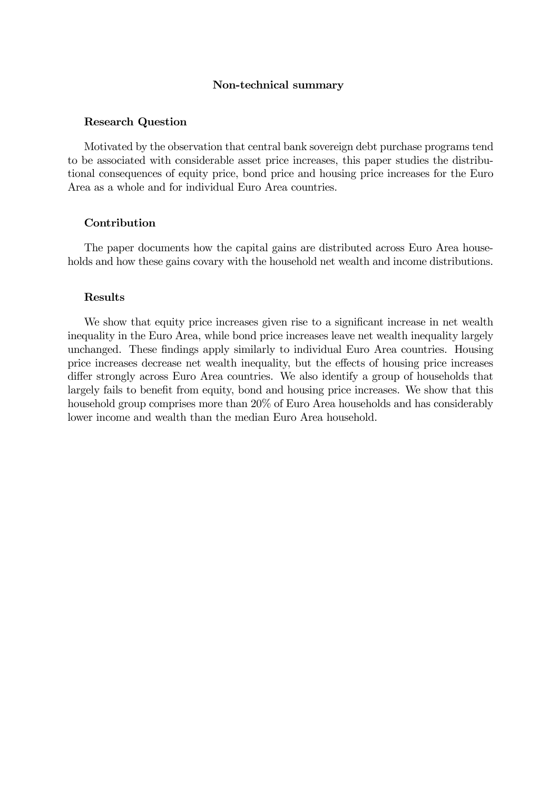#### Non-technical summary

#### Research Question

Motivated by the observation that central bank sovereign debt purchase programs tend to be associated with considerable asset price increases, this paper studies the distributional consequences of equity price, bond price and housing price increases for the Euro Area as a whole and for individual Euro Area countries.

#### Contribution

The paper documents how the capital gains are distributed across Euro Area households and how these gains covary with the household net wealth and income distributions.

#### Results

We show that equity price increases given rise to a significant increase in net wealth inequality in the Euro Area, while bond price increases leave net wealth inequality largely unchanged. These findings apply similarly to individual Euro Area countries. Housing price increases decrease net wealth inequality, but the effects of housing price increases differ strongly across Euro Area countries. We also identify a group of households that largely fails to benefit from equity, bond and housing price increases. We show that this household group comprises more than 20% of Euro Area households and has considerably lower income and wealth than the median Euro Area household.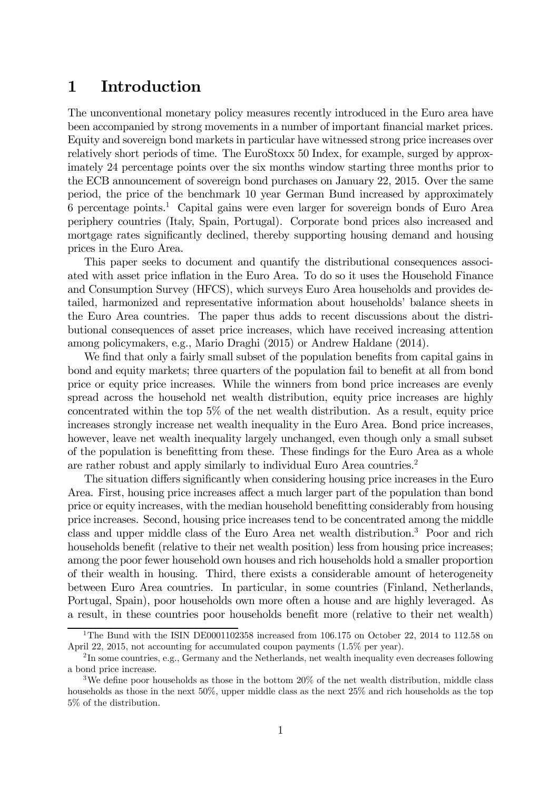# 1 Introduction

The unconventional monetary policy measures recently introduced in the Euro area have been accompanied by strong movements in a number of important financial market prices. Equity and sovereign bond markets in particular have witnessed strong price increases over relatively short periods of time. The EuroStoxx 50 Index, for example, surged by approximately 24 percentage points over the six months window starting three months prior to the ECB announcement of sovereign bond purchases on January 22, 2015. Over the same period, the price of the benchmark 10 year German Bund increased by approximately 6 percentage points.1 Capital gains were even larger for sovereign bonds of Euro Area periphery countries (Italy, Spain, Portugal). Corporate bond prices also increased and mortgage rates significantly declined, thereby supporting housing demand and housing prices in the Euro Area.

This paper seeks to document and quantify the distributional consequences associated with asset price inflation in the Euro Area. To do so it uses the Household Finance and Consumption Survey (HFCS), which surveys Euro Area households and provides detailed, harmonized and representative information about households' balance sheets in the Euro Area countries. The paper thus adds to recent discussions about the distributional consequences of asset price increases, which have received increasing attention among policymakers, e.g., Mario Draghi (2015) or Andrew Haldane (2014).

We find that only a fairly small subset of the population benefits from capital gains in bond and equity markets; three quarters of the population fail to benefit at all from bond price or equity price increases. While the winners from bond price increases are evenly spread across the household net wealth distribution, equity price increases are highly concentrated within the top 5% of the net wealth distribution. As a result, equity price increases strongly increase net wealth inequality in the Euro Area. Bond price increases, however, leave net wealth inequality largely unchanged, even though only a small subset of the population is benefitting from these. These findings for the Euro Area as a whole are rather robust and apply similarly to individual Euro Area countries.<sup>2</sup>

The situation differs significantly when considering housing price increases in the Euro Area. First, housing price increases affect a much larger part of the population than bond price or equity increases, with the median household benefitting considerably from housing price increases. Second, housing price increases tend to be concentrated among the middle class and upper middle class of the Euro Area net wealth distribution.3 Poor and rich households benefit (relative to their net wealth position) less from housing price increases; among the poor fewer household own houses and rich households hold a smaller proportion of their wealth in housing. Third, there exists a considerable amount of heterogeneity between Euro Area countries. In particular, in some countries (Finland, Netherlands, Portugal, Spain), poor households own more often a house and are highly leveraged. As a result, in these countries poor households benefit more (relative to their net wealth)

<sup>&</sup>lt;sup>1</sup>The Bund with the ISIN DE0001102358 increased from 106.175 on October 22, 2014 to 112.58 on April 22, 2015, not accounting for accumulated coupon payments (1.5% per year).

<sup>2</sup> In some countries, e.g., Germany and the Netherlands, net wealth inequality even decreases following a bond price increase.

<sup>&</sup>lt;sup>3</sup>We define poor households as those in the bottom  $20\%$  of the net wealth distribution, middle class households as those in the next 50%, upper middle class as the next  $25\%$  and rich households as the top 5% of the distribution.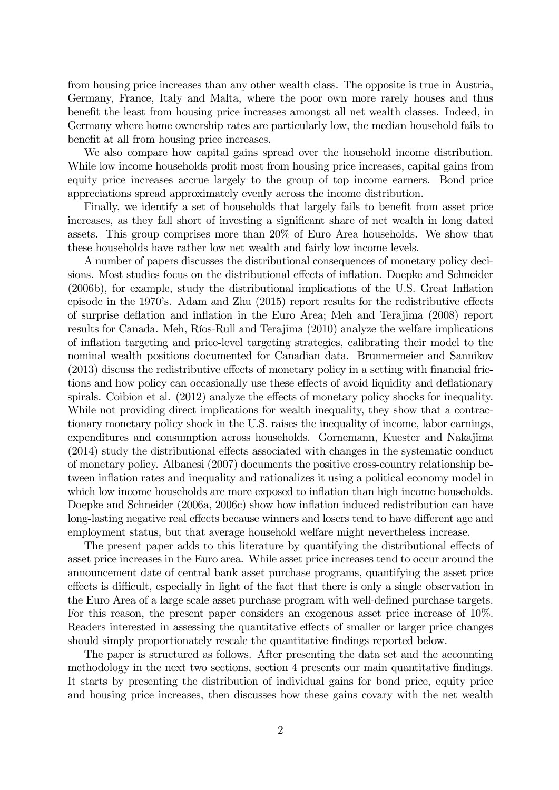from housing price increases than any other wealth class. The opposite is true in Austria, Germany, France, Italy and Malta, where the poor own more rarely houses and thus benefit the least from housing price increases amongst all net wealth classes. Indeed, in Germany where home ownership rates are particularly low, the median household fails to benefit at all from housing price increases.

We also compare how capital gains spread over the household income distribution. While low income households profit most from housing price increases, capital gains from equity price increases accrue largely to the group of top income earners. Bond price appreciations spread approximately evenly across the income distribution.

Finally, we identify a set of households that largely fails to benefit from asset price increases, as they fall short of investing a significant share of net wealth in long dated assets. This group comprises more than 20% of Euro Area households. We show that these households have rather low net wealth and fairly low income levels.

A number of papers discusses the distributional consequences of monetary policy decisions. Most studies focus on the distributional effects of inflation. Doepke and Schneider (2006b), for example, study the distributional implications of the U.S. Great Inflation episode in the 1970's. Adam and Zhu (2015) report results for the redistributive effects of surprise deflation and inflation in the Euro Area; Meh and Terajima (2008) report results for Canada. Meh, Ríos-Rull and Terajima (2010) analyze the welfare implications of inflation targeting and price-level targeting strategies, calibrating their model to the nominal wealth positions documented for Canadian data. Brunnermeier and Sannikov (2013) discuss the redistributive effects of monetary policy in a setting with financial frictions and how policy can occasionally use these effects of avoid liquidity and deflationary spirals. Coibion et al. (2012) analyze the effects of monetary policy shocks for inequality. While not providing direct implications for wealth inequality, they show that a contractionary monetary policy shock in the U.S. raises the inequality of income, labor earnings, expenditures and consumption across households. Gornemann, Kuester and Nakajima (2014) study the distributional effects associated with changes in the systematic conduct of monetary policy. Albanesi (2007) documents the positive cross-country relationship between inflation rates and inequality and rationalizes it using a political economy model in which low income households are more exposed to inflation than high income households. Doepke and Schneider (2006a, 2006c) show how inflation induced redistribution can have long-lasting negative real effects because winners and losers tend to have different age and employment status, but that average household welfare might nevertheless increase.

The present paper adds to this literature by quantifying the distributional effects of asset price increases in the Euro area. While asset price increases tend to occur around the announcement date of central bank asset purchase programs, quantifying the asset price effects is difficult, especially in light of the fact that there is only a single observation in the Euro Area of a large scale asset purchase program with well-defined purchase targets. For this reason, the present paper considers an exogenous asset price increase of 10%. Readers interested in assessing the quantitative effects of smaller or larger price changes should simply proportionately rescale the quantitative findings reported below.

The paper is structured as follows. After presenting the data set and the accounting methodology in the next two sections, section 4 presents our main quantitative findings. It starts by presenting the distribution of individual gains for bond price, equity price and housing price increases, then discusses how these gains covary with the net wealth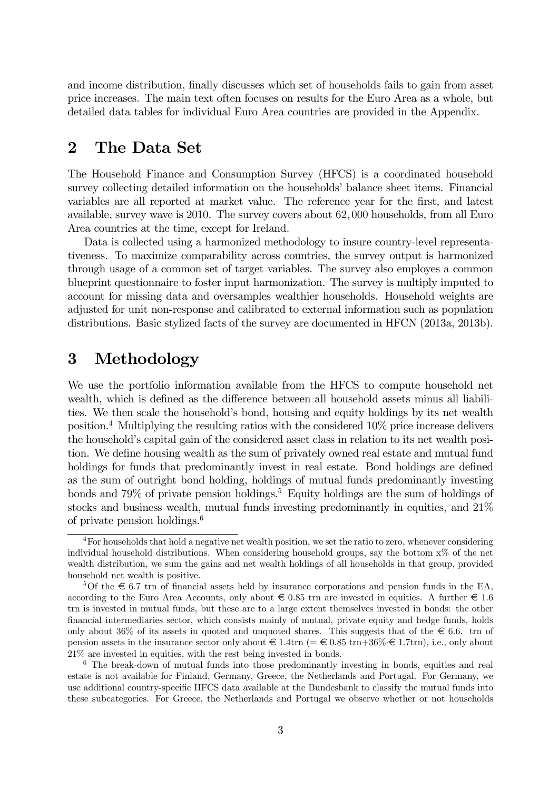and income distribution, finally discusses which set of households fails to gain from asset price increases. The main text often focuses on results for the Euro Area as a whole, but detailed data tables for individual Euro Area countries are provided in the Appendix.

### 2 The Data Set

The Household Finance and Consumption Survey (HFCS) is a coordinated household survey collecting detailed information on the households' balance sheet items. Financial variables are all reported at market value. The reference year for the first, and latest available, survey wave is 2010. The survey covers about 62,000 households, from all Euro Area countries at the time, except for Ireland.

Data is collected using a harmonized methodology to insure country-level representativeness. To maximize comparability across countries, the survey output is harmonized through usage of a common set of target variables. The survey also employes a common blueprint questionnaire to foster input harmonization. The survey is multiply imputed to account for missing data and oversamples wealthier households. Household weights are adjusted for unit non-response and calibrated to external information such as population distributions. Basic stylized facts of the survey are documented in HFCN (2013a, 2013b).

# 3 Methodology

We use the portfolio information available from the HFCS to compute household net wealth, which is defined as the difference between all household assets minus all liabilities. We then scale the household's bond, housing and equity holdings by its net wealth position.4 Multiplying the resulting ratios with the considered 10% price increase delivers the household's capital gain of the considered asset class in relation to its net wealth position. We define housing wealth as the sum of privately owned real estate and mutual fund holdings for funds that predominantly invest in real estate. Bond holdings are defined as the sum of outright bond holding, holdings of mutual funds predominantly investing bonds and 79% of private pension holdings.<sup>5</sup> Equity holdings are the sum of holdings of stocks and business wealth, mutual funds investing predominantly in equities, and  $21\%$ of private pension holdings.6

<sup>4</sup>For households that hold a negative net wealth position, we set the ratio to zero, whenever considering individual household distributions. When considering household groups, say the bottom  $x\%$  of the net wealth distribution, we sum the gains and net wealth holdings of all households in that group, provided household net wealth is positive.

 $5$ Of the  $\epsilon$  6.7 trn of financial assets held by insurance corporations and pension funds in the EA, according to the Euro Area Accounts, only about  $\epsilon$  0.85 trn are invested in equities. A further  $\epsilon$  1.6 trn is invested in mutual funds, but these are to a large extent themselves invested in bonds: the other financial intermediaries sector, which consists mainly of mutual, private equity and hedge funds, holds only about 36% of its assets in quoted and unquoted shares. This suggests that of the  $\epsilon$  6.6. trn of pension assets in the insurance sector only about  $\in$  1.4trn (=  $\in$  0.85 trn+36% $\in$  1.7trn), i.e., only about 21% are invested in equities, with the rest being invested in bonds.

<sup>&</sup>lt;sup>6</sup> The break-down of mutual funds into those predominantly investing in bonds, equities and real estate is not available for Finland, Germany, Greece, the Netherlands and Portugal. For Germany, we use additional country-specific HFCS data available at the Bundesbank to classify the mutual funds into these subcategories. For Greece, the Netherlands and Portugal we observe whether or not households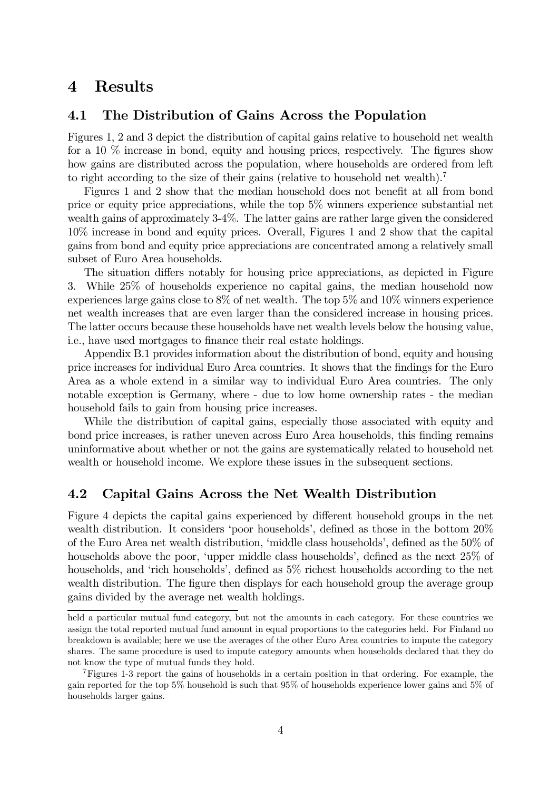### 4 Results

### 4.1 The Distribution of Gains Across the Population

Figures 1, 2 and 3 depict the distribution of capital gains relative to household net wealth for a 10 % increase in bond, equity and housing prices, respectively. The figures show how gains are distributed across the population, where households are ordered from left to right according to the size of their gains (relative to household net wealth).<sup>7</sup>

Figures 1 and 2 show that the median household does not benefit at all from bond price or equity price appreciations, while the top 5% winners experience substantial net wealth gains of approximately 3-4%. The latter gains are rather large given the considered 10% increase in bond and equity prices. Overall, Figures 1 and 2 show that the capital gains from bond and equity price appreciations are concentrated among a relatively small subset of Euro Area households.

The situation differs notably for housing price appreciations, as depicted in Figure 3. While 25% of households experience no capital gains, the median household now experiences large gains close to 8% of net wealth. The top 5% and 10% winners experience net wealth increases that are even larger than the considered increase in housing prices. The latter occurs because these households have net wealth levels below the housing value, i.e., have used mortgages to finance their real estate holdings.

Appendix B.1 provides information about the distribution of bond, equity and housing price increases for individual Euro Area countries. It shows that the findings for the Euro Area as a whole extend in a similar way to individual Euro Area countries. The only notable exception is Germany, where - due to low home ownership rates - the median household fails to gain from housing price increases.

While the distribution of capital gains, especially those associated with equity and bond price increases, is rather uneven across Euro Area households, this finding remains uninformative about whether or not the gains are systematically related to household net wealth or household income. We explore these issues in the subsequent sections.

### 4.2 Capital Gains Across the Net Wealth Distribution

Figure 4 depicts the capital gains experienced by different household groups in the net wealth distribution. It considers 'poor households', defined as those in the bottom 20% of the Euro Area net wealth distribution, 'middle class households', defined as the 50% of households above the poor, 'upper middle class households', defined as the next 25% of households, and 'rich households', defined as 5% richest households according to the net wealth distribution. The figure then displays for each household group the average group gains divided by the average net wealth holdings.

held a particular mutual fund category, but not the amounts in each category. For these countries we assign the total reported mutual fund amount in equal proportions to the categories held. For Finland no breakdown is available; here we use the averages of the other Euro Area countries to impute the category shares. The same procedure is used to impute category amounts when households declared that they do not know the type of mutual funds they hold.

<sup>7</sup>Figures 1-3 report the gains of households in a certain position in that ordering. For example, the gain reported for the top 5% household is such that 95% of households experience lower gains and 5% of households larger gains.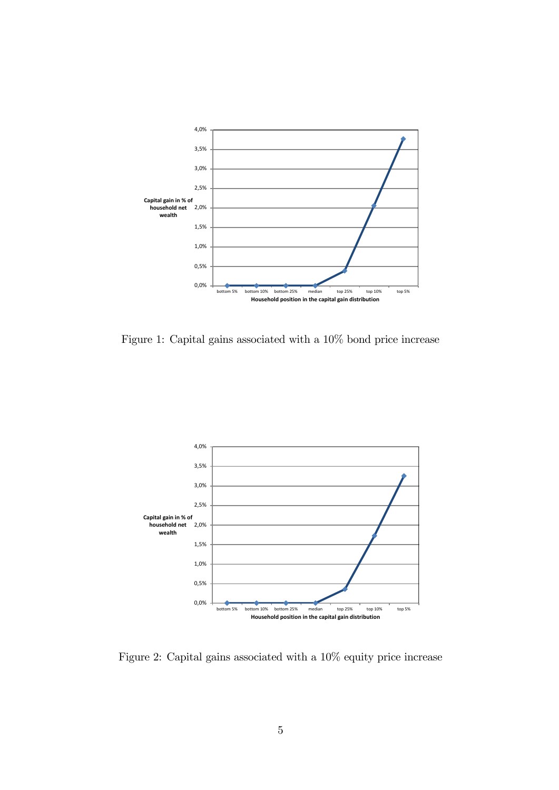

Figure 1: Capital gains associated with a 10% bond price increase



Figure 2: Capital gains associated with a 10% equity price increase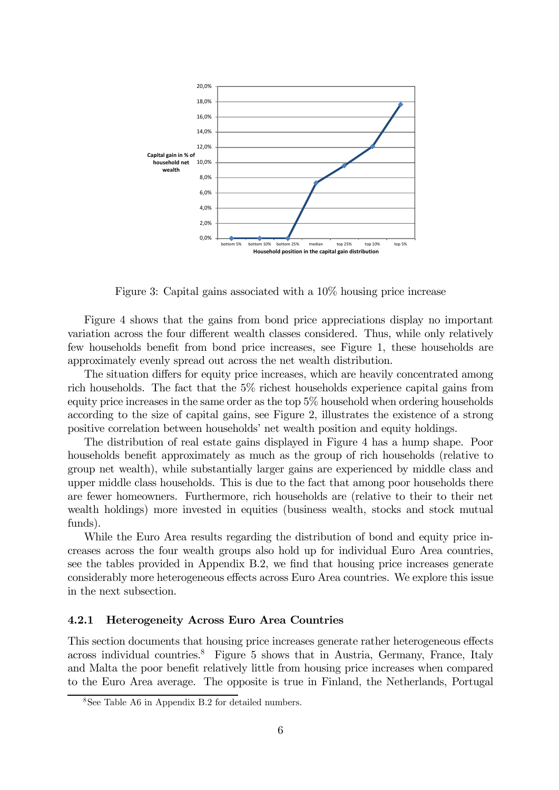

Figure 3: Capital gains associated with a 10% housing price increase

Figure 4 shows that the gains from bond price appreciations display no important variation across the four different wealth classes considered. Thus, while only relatively few households benefit from bond price increases, see Figure 1, these households are approximately evenly spread out across the net wealth distribution.

The situation differs for equity price increases, which are heavily concentrated among rich households. The fact that the 5% richest households experience capital gains from equity price increases in the same order as the top 5% household when ordering households according to the size of capital gains, see Figure 2, illustrates the existence of a strong positive correlation between households' net wealth position and equity holdings.

The distribution of real estate gains displayed in Figure 4 has a hump shape. Poor households benefit approximately as much as the group of rich households (relative to group net wealth), while substantially larger gains are experienced by middle class and upper middle class households. This is due to the fact that among poor households there are fewer homeowners. Furthermore, rich households are (relative to their to their net wealth holdings) more invested in equities (business wealth, stocks and stock mutual funds).

While the Euro Area results regarding the distribution of bond and equity price increases across the four wealth groups also hold up for individual Euro Area countries, see the tables provided in Appendix B.2, we find that housing price increases generate considerably more heterogeneous effects across Euro Area countries. We explore this issue in the next subsection.

#### 4.2.1 Heterogeneity Across Euro Area Countries

This section documents that housing price increases generate rather heterogeneous effects across individual countries.<sup>8</sup> Figure 5 shows that in Austria, Germany, France, Italy and Malta the poor benefit relatively little from housing price increases when compared to the Euro Area average. The opposite is true in Finland, the Netherlands, Portugal

<sup>8</sup>See Table A6 in Appendix B.2 for detailed numbers.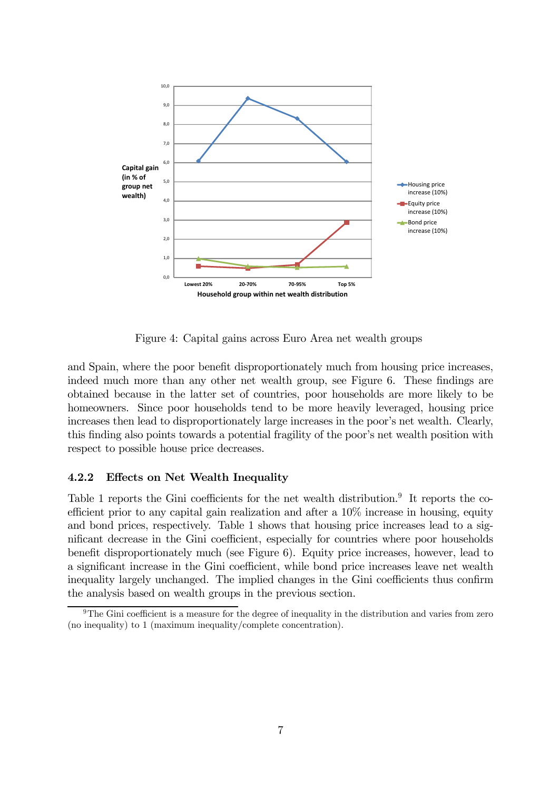

Figure 4: Capital gains across Euro Area net wealth groups

and Spain, where the poor benefit disproportionately much from housing price increases, indeed much more than any other net wealth group, see Figure 6. These findings are obtained because in the latter set of countries, poor households are more likely to be homeowners. Since poor households tend to be more heavily leveraged, housing price increases then lead to disproportionately large increases in the poor's net wealth. Clearly, this finding also points towards a potential fragility of the poor's net wealth position with respect to possible house price decreases.

### 4.2.2 Effects on Net Wealth Inequality

Table 1 reports the Gini coefficients for the net wealth distribution.<sup>9</sup> It reports the coefficient prior to any capital gain realization and after a 10% increase in housing, equity and bond prices, respectively. Table 1 shows that housing price increases lead to a significant decrease in the Gini coefficient, especially for countries where poor households benefit disproportionately much (see Figure 6). Equity price increases, however, lead to a significant increase in the Gini coefficient, while bond price increases leave net wealth inequality largely unchanged. The implied changes in the Gini coefficients thus confirm the analysis based on wealth groups in the previous section.

<sup>&</sup>lt;sup>9</sup>The Gini coefficient is a measure for the degree of inequality in the distribution and varies from zero (no inequality) to 1 (maximum inequality/complete concentration).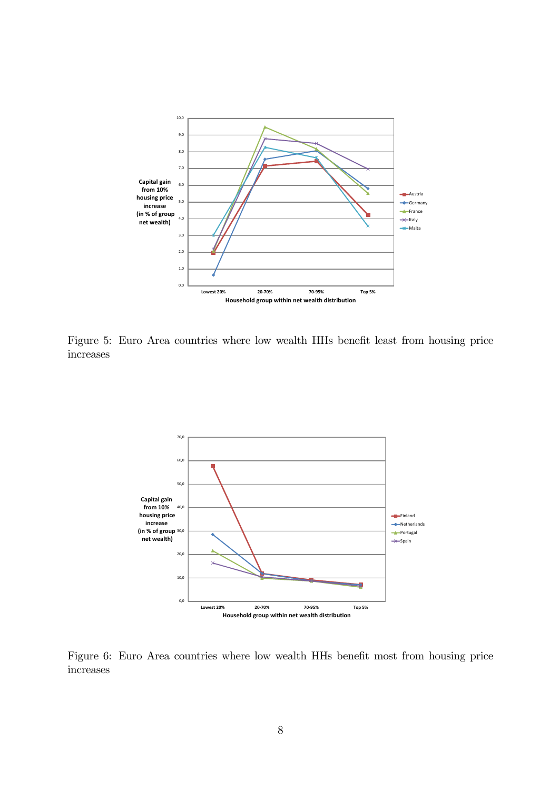

Figure 5: Euro Area countries where low wealth HHs benefit least from housing price increases



Figure 6: Euro Area countries where low wealth HHs benefit most from housing price increases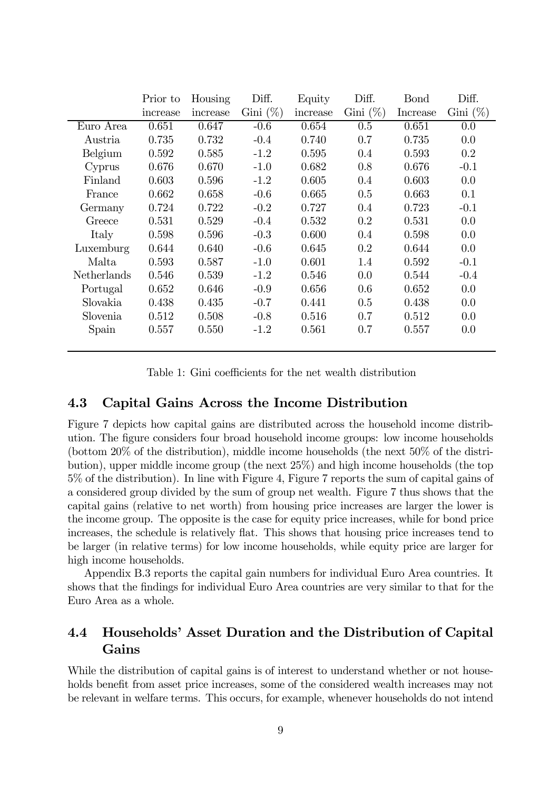|             | Prior to | Housing  | Diff.       | Equity   | Diff.       | <b>Bond</b> | Diff.       |
|-------------|----------|----------|-------------|----------|-------------|-------------|-------------|
|             | increase | increase | Gini $(\%)$ | increase | Gini $(\%)$ | Increase    | Gini $(\%)$ |
| Euro Area   | 0.651    | 0.647    | $-0.6$      | 0.654    | 0.5         | 0.651       | 0.0         |
| Austria     | 0.735    | 0.732    | $-0.4$      | 0.740    | 0.7         | 0.735       | 0.0         |
| Belgium     | 0.592    | 0.585    | $-1.2$      | 0.595    | 0.4         | 0.593       | 0.2         |
| Cyprus      | 0.676    | 0.670    | $-1.0$      | 0.682    | 0.8         | 0.676       | $-0.1$      |
| Finland     | 0.603    | 0.596    | $-1.2$      | 0.605    | 0.4         | 0.603       | 0.0         |
| France      | 0.662    | 0.658    | $-0.6$      | 0.665    | 0.5         | 0.663       | 0.1         |
| Germany     | 0.724    | 0.722    | $-0.2$      | 0.727    | $0.4\,$     | 0.723       | $-0.1$      |
| Greece      | 0.531    | 0.529    | $-0.4$      | 0.532    | $0.2\,$     | 0.531       | 0.0         |
| Italy       | 0.598    | 0.596    | $-0.3$      | 0.600    | $0.4\,$     | 0.598       | 0.0         |
| Luxemburg   | 0.644    | 0.640    | $-0.6$      | 0.645    | 0.2         | 0.644       | 0.0         |
| Malta       | 0.593    | 0.587    | $-1.0$      | 0.601    | 1.4         | 0.592       | $-0.1$      |
| Netherlands | 0.546    | 0.539    | $-1.2$      | 0.546    | 0.0         | 0.544       | $-0.4$      |
| Portugal    | 0.652    | 0.646    | $-0.9$      | 0.656    | 0.6         | 0.652       | 0.0         |
| Slovakia    | 0.438    | 0.435    | $-0.7$      | 0.441    | 0.5         | 0.438       | 0.0         |
| Slovenia    | 0.512    | 0.508    | $-0.8$      | 0.516    | 0.7         | 0.512       | 0.0         |
| Spain       | 0.557    | 0.550    | $-1.2$      | 0.561    | 0.7         | 0.557       | 0.0         |
|             |          |          |             |          |             |             |             |

Table 1: Gini coefficients for the net wealth distribution

### 4.3 Capital Gains Across the Income Distribution

Figure 7 depicts how capital gains are distributed across the household income distribution. The figure considers four broad household income groups: low income households (bottom 20% of the distribution), middle income households (the next 50% of the distribution), upper middle income group (the next 25%) and high income households (the top 5% of the distribution). In line with Figure 4, Figure 7 reports the sum of capital gains of a considered group divided by the sum of group net wealth. Figure 7 thus shows that the capital gains (relative to net worth) from housing price increases are larger the lower is the income group. The opposite is the case for equity price increases, while for bond price increases, the schedule is relatively flat. This shows that housing price increases tend to be larger (in relative terms) for low income households, while equity price are larger for high income households.

Appendix B.3 reports the capital gain numbers for individual Euro Area countries. It shows that the findings for individual Euro Area countries are very similar to that for the Euro Area as a whole.

### 4.4 Households' Asset Duration and the Distribution of Capital Gains

While the distribution of capital gains is of interest to understand whether or not households benefit from asset price increases, some of the considered wealth increases may not be relevant in welfare terms. This occurs, for example, whenever households do not intend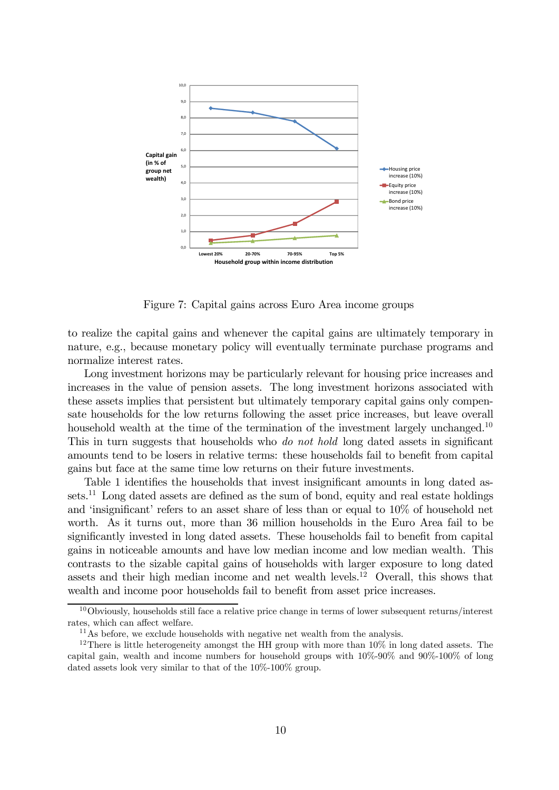

Figure 7: Capital gains across Euro Area income groups

to realize the capital gains and whenever the capital gains are ultimately temporary in nature, e.g., because monetary policy will eventually terminate purchase programs and normalize interest rates.

Long investment horizons may be particularly relevant for housing price increases and increases in the value of pension assets. The long investment horizons associated with these assets implies that persistent but ultimately temporary capital gains only compensate households for the low returns following the asset price increases, but leave overall household wealth at the time of the termination of the investment largely unchanged.<sup>10</sup> This in turn suggests that households who *do not hold* long dated assets in significant amounts tend to be losers in relative terms: these households fail to benefit from capital gains but face at the same time low returns on their future investments.

Table 1 identifies the households that invest insignificant amounts in long dated assets.<sup>11</sup> Long dated assets are defined as the sum of bond, equity and real estate holdings and 'insignificant' refers to an asset share of less than or equal to 10% of household net worth. As it turns out, more than 36 million households in the Euro Area fail to be significantly invested in long dated assets. These households fail to benefit from capital gains in noticeable amounts and have low median income and low median wealth. This contrasts to the sizable capital gains of households with larger exposure to long dated assets and their high median income and net wealth levels.12 Overall, this shows that wealth and income poor households fail to benefit from asset price increases.

 $10$ Obviously, households still face a relative price change in terms of lower subsequent returns/interest rates, which can affect welfare.

 $11<sup>11</sup>$ As before, we exclude households with negative net wealth from the analysis.

<sup>&</sup>lt;sup>12</sup>There is little heterogeneity amongst the HH group with more than  $10\%$  in long dated assets. The capital gain, wealth and income numbers for household groups with 10%-90% and 90%-100% of long dated assets look very similar to that of the 10%-100% group.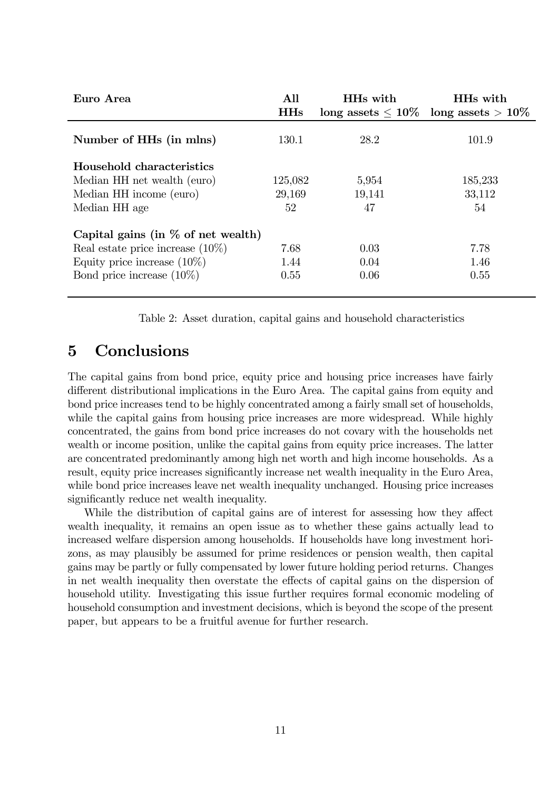| Euro Area                             | All<br><b>HHs</b> | HHs with | HH <sub>s</sub> with<br>$\log$ assets $\leq 10\%$ $\log$ assets $> 10\%$ |
|---------------------------------------|-------------------|----------|--------------------------------------------------------------------------|
| Number of HHs (in mlns)               | 130.1             | 28.2     | 101.9                                                                    |
| Household characteristics             |                   |          |                                                                          |
| Median HH net wealth (euro)           | 125,082           | 5,954    | 185,233                                                                  |
| Median HH income (euro)               | 29,169            | 19,141   | 33,112                                                                   |
| Median HH age                         | 52                | 47       | 54                                                                       |
| Capital gains (in $\%$ of net wealth) |                   |          |                                                                          |
| Real estate price increase $(10\%)$   | 7.68              | 0.03     | 7.78                                                                     |
| Equity price increase $(10\%)$        | 1.44              | 0.04     | 1.46                                                                     |
| Bond price increase $(10\%)$          | 0.55              | 0.06     | 0.55                                                                     |

Table 2: Asset duration, capital gains and household characteristics

# 5 Conclusions

The capital gains from bond price, equity price and housing price increases have fairly different distributional implications in the Euro Area. The capital gains from equity and bond price increases tend to be highly concentrated among a fairly small set of households, while the capital gains from housing price increases are more widespread. While highly concentrated, the gains from bond price increases do not covary with the households net wealth or income position, unlike the capital gains from equity price increases. The latter are concentrated predominantly among high net worth and high income households. As a result, equity price increases significantly increase net wealth inequality in the Euro Area, while bond price increases leave net wealth inequality unchanged. Housing price increases significantly reduce net wealth inequality.

While the distribution of capital gains are of interest for assessing how they affect wealth inequality, it remains an open issue as to whether these gains actually lead to increased welfare dispersion among households. If households have long investment horizons, as may plausibly be assumed for prime residences or pension wealth, then capital gains may be partly or fully compensated by lower future holding period returns. Changes in net wealth inequality then overstate the effects of capital gains on the dispersion of household utility. Investigating this issue further requires formal economic modeling of household consumption and investment decisions, which is beyond the scope of the present paper, but appears to be a fruitful avenue for further research.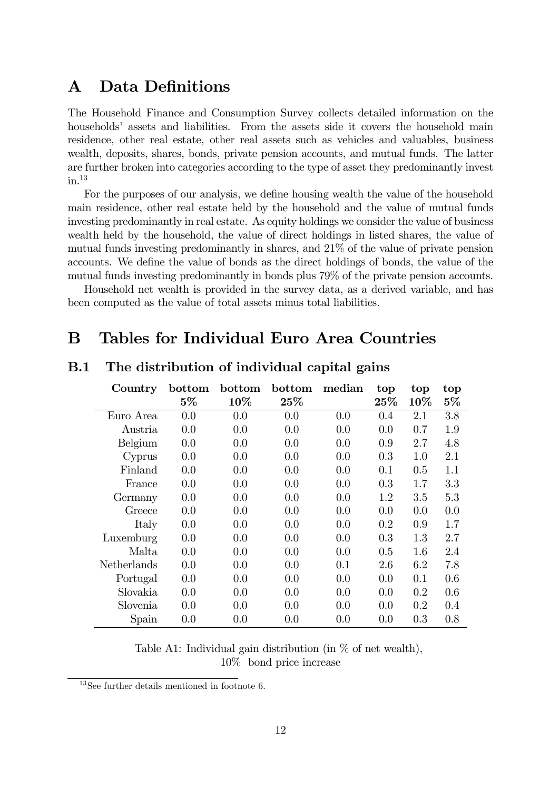# A Data Definitions

The Household Finance and Consumption Survey collects detailed information on the households' assets and liabilities. From the assets side it covers the household main residence, other real estate, other real assets such as vehicles and valuables, business wealth, deposits, shares, bonds, private pension accounts, and mutual funds. The latter are further broken into categories according to the type of asset they predominantly invest  $in.$ <sup>13</sup>

For the purposes of our analysis, we define housing wealth the value of the household main residence, other real estate held by the household and the value of mutual funds investing predominantly in real estate. As equity holdings we consider the value of business wealth held by the household, the value of direct holdings in listed shares, the value of mutual funds investing predominantly in shares, and 21% of the value of private pension accounts. We define the value of bonds as the direct holdings of bonds, the value of the mutual funds investing predominantly in bonds plus 79% of the private pension accounts.

Household net wealth is provided in the survey data, as a derived variable, and has been computed as the value of total assets minus total liabilities.

# B Tables for Individual Euro Area Countries

| Country     | bottom | bottom | bottom | median | top     | top     | top   |
|-------------|--------|--------|--------|--------|---------|---------|-------|
|             | $5\%$  | 10%    | $25\%$ |        | 25%     | 10%     | $5\%$ |
| Euro Area   | 0.0    | 0.0    | 0.0    | 0.0    | 0.4     | 2.1     | 3.8   |
| Austria     | 0.0    | 0.0    | 0.0    | 0.0    | 0.0     | 0.7     | 1.9   |
| Belgium     | 0.0    | 0.0    | 0.0    | 0.0    | 0.9     | 2.7     | 4.8   |
| Cyprus      | 0.0    | 0.0    | 0.0    | 0.0    | 0.3     | 1.0     | 2.1   |
| Finland     | 0.0    | 0.0    | 0.0    | 0.0    | 0.1     | 0.5     | 1.1   |
| France      | 0.0    | 0.0    | 0.0    | 0.0    | 0.3     | 1.7     | 3.3   |
| Germany     | 0.0    | 0.0    | 0.0    | 0.0    | $1.2\,$ | $3.5\,$ | 5.3   |
| Greece      | 0.0    | 0.0    | 0.0    | 0.0    | 0.0     | 0.0     | 0.0   |
| Italy       | 0.0    | 0.0    | 0.0    | 0.0    | 0.2     | 0.9     | 1.7   |
| Luxemburg   | 0.0    | 0.0    | 0.0    | 0.0    | 0.3     | 1.3     | 2.7   |
| Malta       | 0.0    | 0.0    | 0.0    | 0.0    | 0.5     | 1.6     | 2.4   |
| Netherlands | 0.0    | 0.0    | 0.0    | 0.1    | 2.6     | 6.2     | 7.8   |
| Portugal    | 0.0    | 0.0    | 0.0    | 0.0    | 0.0     | 0.1     | 0.6   |
| Slovakia    | 0.0    | 0.0    | 0.0    | 0.0    | 0.0     | 0.2     | 0.6   |
| Slovenia    | 0.0    | 0.0    | 0.0    | 0.0    | 0.0     | 0.2     | 0.4   |
| Spain       | 0.0    | 0.0    | 0.0    | 0.0    | 0.0     | 0.3     | 0.8   |

### B.1 The distribution of individual capital gains

Table A1: Individual gain distribution (in % of net wealth), 10% bond price increase

<sup>13</sup>See further details mentioned in footnote 6.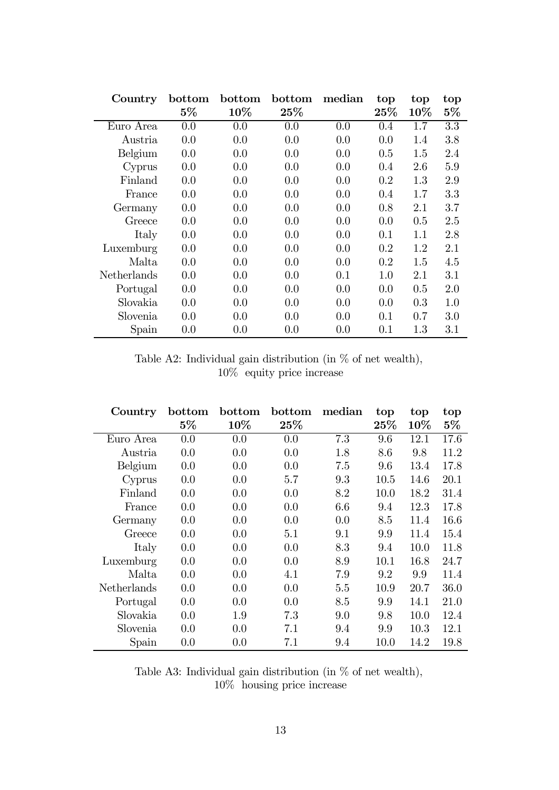| Country     | bottom | bottom | bottom | median | top    | top     | top     |
|-------------|--------|--------|--------|--------|--------|---------|---------|
|             | $5\%$  | 10%    | 25%    |        | $25\%$ | $10\%$  | $5\%$   |
| Euro Area   | 0.0    | 0.0    | 0.0    | 0.0    | 0.4    | 1.7     | 3.3     |
| Austria     | 0.0    | 0.0    | 0.0    | 0.0    | 0.0    | 1.4     | 3.8     |
| Belgium     | 0.0    | 0.0    | 0.0    | 0.0    | 0.5    | 1.5     | 2.4     |
| Cyprus      | 0.0    | 0.0    | 0.0    | 0.0    | 0.4    | 2.6     | 5.9     |
| Finland     | 0.0    | 0.0    | 0.0    | 0.0    | 0.2    | 1.3     | 2.9     |
| France      | 0.0    | 0.0    | 0.0    | 0.0    | 0.4    | 1.7     | 3.3     |
| Germany     | 0.0    | 0.0    | 0.0    | 0.0    | 0.8    | 2.1     | 3.7     |
| Greece      | 0.0    | 0.0    | 0.0    | 0.0    | 0.0    | 0.5     | 2.5     |
| Italy       | 0.0    | 0.0    | 0.0    | 0.0    | 0.1    | 1.1     | 2.8     |
| Luxemburg   | 0.0    | 0.0    | 0.0    | 0.0    | 0.2    | 1.2     | 2.1     |
| Malta       | 0.0    | 0.0    | 0.0    | 0.0    | 0.2    | 1.5     | 4.5     |
| Netherlands | 0.0    | 0.0    | 0.0    | 0.1    | 1.0    | 2.1     | 3.1     |
| Portugal    | 0.0    | 0.0    | 0.0    | 0.0    | 0.0    | 0.5     | 2.0     |
| Slovakia    | 0.0    | 0.0    | 0.0    | 0.0    | 0.0    | 0.3     | 1.0     |
| Slovenia    | 0.0    | 0.0    | 0.0    | 0.0    | 0.1    | 0.7     | 3.0     |
| Spain       | 0.0    | 0.0    | 0.0    | 0.0    | 0.1    | $1.3\,$ | $3.1\,$ |

Table A2: Individual gain distribution (in % of net wealth), 10% equity price increase

| Country     | bottom | bottom | bottom | median | top    | top  | top   |
|-------------|--------|--------|--------|--------|--------|------|-------|
|             | $5\%$  | 10%    | 25%    |        | $25\%$ | 10\% | $5\%$ |
| Euro Area   | 0.0    | 0.0    | 0.0    | 7.3    | 9.6    | 12.1 | 17.6  |
| Austria     | 0.0    | 0.0    | 0.0    | 1.8    | 8.6    | 9.8  | 11.2  |
| Belgium     | 0.0    | 0.0    | 0.0    | 7.5    | 9.6    | 13.4 | 17.8  |
| Cyprus      | 0.0    | 0.0    | 5.7    | 9.3    | 10.5   | 14.6 | 20.1  |
| Finland     | 0.0    | 0.0    | 0.0    | 8.2    | 10.0   | 18.2 | 31.4  |
| France      | 0.0    | 0.0    | 0.0    | 6.6    | 9.4    | 12.3 | 17.8  |
| Germany     | 0.0    | 0.0    | 0.0    | 0.0    | 8.5    | 11.4 | 16.6  |
| Greece      | 0.0    | 0.0    | 5.1    | 9.1    | 9.9    | 11.4 | 15.4  |
| Italy       | 0.0    | 0.0    | 0.0    | 8.3    | 9.4    | 10.0 | 11.8  |
| Luxemburg   | 0.0    | 0.0    | 0.0    | 8.9    | 10.1   | 16.8 | 24.7  |
| Malta       | 0.0    | 0.0    | 4.1    | 7.9    | 9.2    | 9.9  | 11.4  |
| Netherlands | 0.0    | 0.0    | 0.0    | 5.5    | 10.9   | 20.7 | 36.0  |
| Portugal    | 0.0    | 0.0    | 0.0    | 8.5    | 9.9    | 14.1 | 21.0  |
| Slovakia    | 0.0    | 1.9    | 7.3    | 9.0    | 9.8    | 10.0 | 12.4  |
| Slovenia    | 0.0    | 0.0    | 7.1    | 9.4    | 9.9    | 10.3 | 12.1  |
| Spain       | 0.0    | 0.0    | 7.1    | 9.4    | 10.0   | 14.2 | 19.8  |

Table A3: Individual gain distribution (in % of net wealth), 10% housing price increase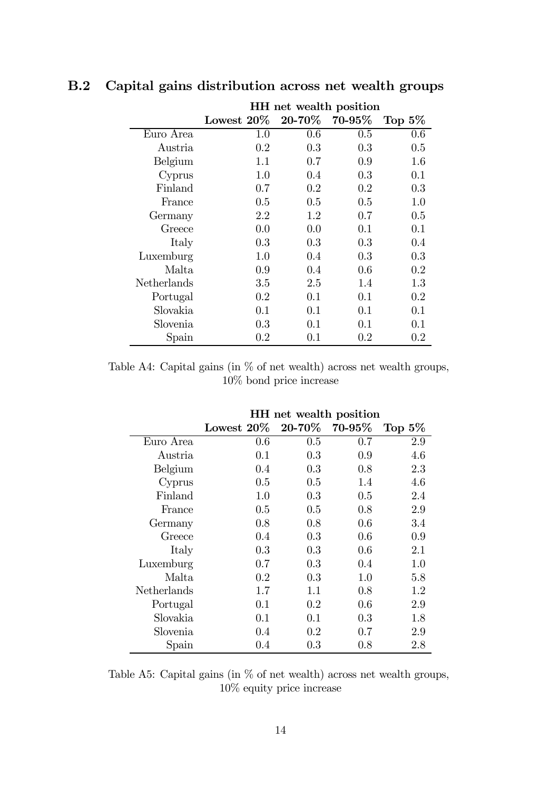|             | HH net wealth position |                  |             |           |  |  |
|-------------|------------------------|------------------|-------------|-----------|--|--|
|             | Lowest $20\%$          | $20\hbox{-}70\%$ | $70 - 95\%$ | Top $5\%$ |  |  |
| Euro Area   | 1.0                    | 0.6              | 0.5         | 0.6       |  |  |
| Austria     | 0.2                    | 0.3              | 0.3         | 0.5       |  |  |
| Belgium     | 1.1                    | 0.7              | 0.9         | 1.6       |  |  |
| Cyprus      | 1.0                    | 0.4              | 0.3         | 0.1       |  |  |
| Finland     | $0.7\,$                | 0.2              | 0.2         | 0.3       |  |  |
| France      | 0.5                    | 0.5              | $0.5\,$     | 1.0       |  |  |
| Germany     | 2.2                    | 1.2              | 0.7         | 0.5       |  |  |
| Greece      | 0.0                    | 0.0              | 0.1         | 0.1       |  |  |
| Italy       | 0.3                    | 0.3              | 0.3         | 0.4       |  |  |
| Luxemburg   | $1.0\,$                | 0.4              | 0.3         | 0.3       |  |  |
| Malta       | 0.9                    | 0.4              | $0.6\,$     | 0.2       |  |  |
| Netherlands | $3.5\,$                | 2.5              | 1.4         | 1.3       |  |  |
| Portugal    | $0.2\,$                | 0.1              | 0.1         | 0.2       |  |  |
| Slovakia    | 0.1                    | 0.1              | 0.1         | 0.1       |  |  |
| Slovenia    | $0.3\,$                | $0.1\,$          | $0.1\,$     | $0.1\,$   |  |  |
| Spain       | $0.2\,$                | 0.1              | $0.2\,$     | $0.2\,$   |  |  |

### B.2 Capital gains distribution across net wealth groups

Table A4: Capital gains (in % of net wealth) across net wealth groups, 10% bond price increase

|             | HH net wealth position |                  |           |           |  |  |
|-------------|------------------------|------------------|-----------|-----------|--|--|
|             | Lowest $20\%$          | $20\hbox{-}70\%$ | $70-95\%$ | Top $5\%$ |  |  |
| Euro Area   | 0.6                    | 0.5              | 0.7       | 2.9       |  |  |
| Austria     | 0.1                    | 0.3              | 0.9       | 4.6       |  |  |
| Belgium     | 0.4                    | 0.3              | 0.8       | 2.3       |  |  |
| Cyprus      | 0.5                    | 0.5              | 1.4       | 4.6       |  |  |
| Finland     | 1.0                    | 0.3              | 0.5       | 2.4       |  |  |
| France      | 0.5                    | 0.5              | 0.8       | 2.9       |  |  |
| Germany     | 0.8                    | 0.8              | 0.6       | 3.4       |  |  |
| Greece      | 0.4                    | 0.3              | 0.6       | 0.9       |  |  |
| Italy       | 0.3                    | 0.3              | 0.6       | 2.1       |  |  |
| Luxemburg   | 0.7                    | 0.3              | 0.4       | 1.0       |  |  |
| Malta       | 0.2                    | 0.3              | 1.0       | 5.8       |  |  |
| Netherlands | 1.7                    | 1.1              | 0.8       | 1.2       |  |  |
| Portugal    | 0.1                    | 0.2              | 0.6       | 2.9       |  |  |
| Slovakia    | 0.1                    | 0.1              | 0.3       | 1.8       |  |  |
| Slovenia    | 0.4                    | 0.2              | 0.7       | 2.9       |  |  |
| Spain       | 0.4                    | 0.3              | $0.8\,$   | 2.8       |  |  |

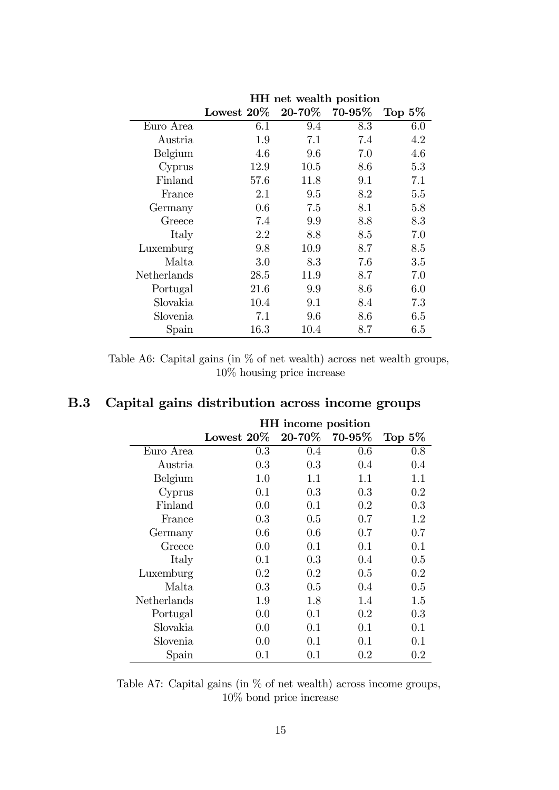|             | riit net wealth position |                  |        |           |  |  |
|-------------|--------------------------|------------------|--------|-----------|--|--|
|             | Lowest $20\%$            | $20\hbox{-}70\%$ | 70-95% | Top $5\%$ |  |  |
| Euro Area   | 6.1                      | 9.4              | 8.3    | 6.0       |  |  |
| Austria     | 1.9                      | 7.1              | 7.4    | 4.2       |  |  |
| Belgium     | 4.6                      | 9.6              | 7.0    | 4.6       |  |  |
| Cyprus      | 12.9                     | 10.5             | 8.6    | 5.3       |  |  |
| Finland     | 57.6                     | 11.8             | 9.1    | 7.1       |  |  |
| France      | 2.1                      | 9.5              | 8.2    | 5.5       |  |  |
| Germany     | 0.6                      | 7.5              | 8.1    | 5.8       |  |  |
| Greece      | 7.4                      | 9.9              | 8.8    | 8.3       |  |  |
| Italy       | 2.2                      | 8.8              | 8.5    | 7.0       |  |  |
| Luxemburg   | 9.8                      | 10.9             | 8.7    | 8.5       |  |  |
| Malta       | 3.0                      | 8.3              | 7.6    | 3.5       |  |  |
| Netherlands | 28.5                     | 11.9             | 8.7    | 7.0       |  |  |
| Portugal    | 21.6                     | 9.9              | 8.6    | 6.0       |  |  |
| Slovakia    | 10.4                     | 9.1              | 8.4    | 7.3       |  |  |
| Slovenia    | 7.1                      | 9.6              | 8.6    | 6.5       |  |  |
| Spain       | 16.3                     | 10.4             | 8.7    | $6.5\,$   |  |  |

HH net wealth position

Table A6: Capital gains (in % of net wealth) across net wealth groups, 10% housing price increase

### B.3 Capital gains distribution across income groups

|             | HH income position |         |         |           |  |  |
|-------------|--------------------|---------|---------|-----------|--|--|
|             | Lowest $20\%$      | 20-70%  | 70-95%  | Top $5\%$ |  |  |
| Euro Area   | $0.3\,$            | 0.4     | 0.6     | 0.8       |  |  |
| Austria.    | 0.3                | 0.3     | 0.4     | 0.4       |  |  |
| Belgium     | 1.0                | 1.1     | 1.1     | 1.1       |  |  |
| Cyprus      | 0.1                | 0.3     | 0.3     | 0.2       |  |  |
| Finland     | 0.0                | 0.1     | 0.2     | 0.3       |  |  |
| France      | 0.3                | 0.5     | 0.7     | 1.2       |  |  |
| Germany     | $0.6\,$            | $0.6\,$ | $0.7\,$ | 0.7       |  |  |
| Greece      | 0.0                | 0.1     | 0.1     | 0.1       |  |  |
| Italy       | 0.1                | 0.3     | 0.4     | 0.5       |  |  |
| Luxemburg   | $0.2\,$            | $0.2\,$ | 0.5     | $0.2\,$   |  |  |
| Malta       | 0.3                | $0.5\,$ | 0.4     | 0.5       |  |  |
| Netherlands | 1.9                | 1.8     | 1.4     | 1.5       |  |  |
| Portugal    | 0.0                | 0.1     | 0.2     | 0.3       |  |  |
| Slovakia    | 0.0                | 0.1     | 0.1     | 0.1       |  |  |
| Slovenia    | 0.0                | 0.1     | 0.1     | 0.1       |  |  |
| Spain       | $0.1\,$            | $0.1\,$ | $0.2\,$ | $0.2\,$   |  |  |

Table A7: Capital gains (in % of net wealth) across income groups, 10% bond price increase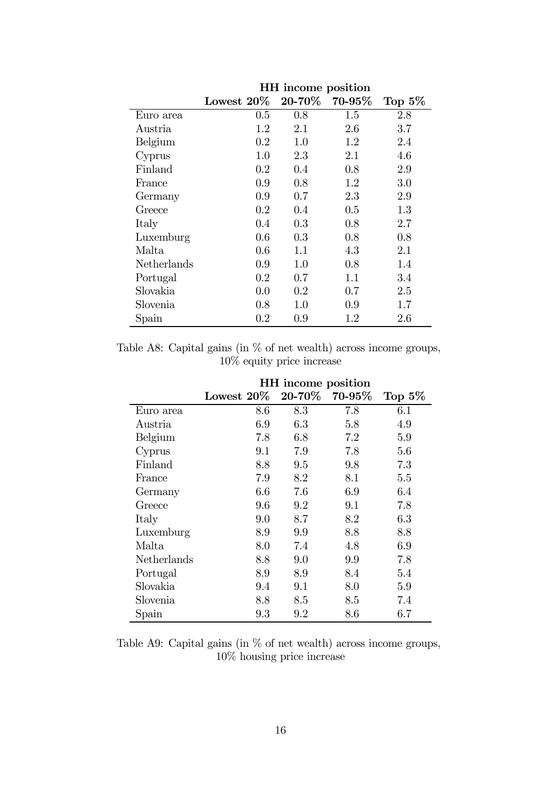|             | HH income position |             |                  |           |  |
|-------------|--------------------|-------------|------------------|-----------|--|
|             | Lowest $20\%$      | $20 - 70\%$ | $70\text{-}95\%$ | Top $5\%$ |  |
| Euro area   | $0.5\,$            | 0.8         | 1.5              | 2.8       |  |
| Austria     | 1.2                | 2.1         | 2.6              | 3.7       |  |
| Belgium     | 0.2                | 1.0         | 1.2              | 2.4       |  |
| Cyprus      | 1.0                | 2.3         | 2.1              | 4.6       |  |
| Finland     | 0.2                | 0.4         | 0.8              | 2.9       |  |
| France      | 0.9                | 0.8         | 1.2              | 3.0       |  |
| Germany     | 0.9                | 0.7         | 2.3              | 2.9       |  |
| Greece      | 0.2                | 0.4         | 0.5              | 1.3       |  |
| Italy       | 0.4                | 0.3         | 0.8              | 2.7       |  |
| Luxemburg   | $0.6\,$            | 0.3         | 0.8              | 0.8       |  |
| Malta       | 0.6                | 1.1         | 4.3              | 2.1       |  |
| Netherlands | 0.9                | 1.0         | 0.8              | 1.4       |  |
| Portugal    | 0.2                | 0.7         | 1.1              | 3.4       |  |
| Slovakia    | 0.0                | 0.2         | 0.7              | 2.5       |  |
| Slovenia    | $0.8\,$            | 1.0         | 0.9              | 1.7       |  |
| Spain       | 0.2                | 0.9         | $1.2\,$          | 2.6       |  |

Table A8: Capital gains (in  $\%$  of net wealth) across income groups, 10% equity price increase

|             | HH income position |         |             |           |  |  |
|-------------|--------------------|---------|-------------|-----------|--|--|
|             | Lowest $20\%$      | 20-70%  | $70 - 95\%$ | Top $5\%$ |  |  |
| Euro area   | 8.6                | 8.3     | 7.8         | $6.1\,$   |  |  |
| Austria     | 6.9                | 6.3     | 5.8         | 4.9       |  |  |
| Belgium     | 7.8                | 6.8     | 7.2         | 5.9       |  |  |
| Cyprus      | 9.1                | 7.9     | 7.8         | 5.6       |  |  |
| Finland     | 8.8                | 9.5     | 9.8         | 7.3       |  |  |
| France      | 7.9                | 8.2     | 8.1         | 5.5       |  |  |
| Germany     | 6.6                | 7.6     | 6.9         | 6.4       |  |  |
| Greece      | 9.6                | 9.2     | 9.1         | 7.8       |  |  |
| Italy       | 9.0                | 8.7     | 8.2         | 6.3       |  |  |
| Luxemburg   | 8.9                | 9.9     | 8.8         | 8.8       |  |  |
| Malta       | 8.0                | 7.4     | 4.8         | 6.9       |  |  |
| Netherlands | 8.8                | 9.0     | 9.9         | 7.8       |  |  |
| Portugal    | 8.9                | 8.9     | 8.4         | 5.4       |  |  |
| Slovakia    | 9.4                | 9.1     | 8.0         | 5.9       |  |  |
| Slovenia    | 8.8                | 8.5     | 8.5         | 7.4       |  |  |
| Spain       | 9.3                | $9.2\,$ | 8.6         | 6.7       |  |  |

Table A9: Capital gains (in % of net wealth) across income groups, 10% housing price increase